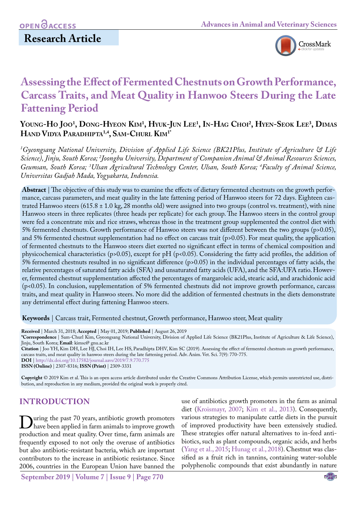

# **Assessing the Effect of Fermented Chestnuts on Growth Performance, Carcass Traits, and Meat Quality in Hanwoo Steers During the Late Fattening Period**

## **Y**oung-Ho Joo<sup>1</sup>, Dong-Hyeon Kim<sup>1</sup>, Hyuk-Jun Lee<sup>1</sup>, In-Hag Choi<sup>2</sup>, Hyen-Seok Lee<sup>3</sup>, Dima **Hand Vidya Paradhipta1,4, Sam-Churl Kim1\***

*1 Gyeongsang National University, Division of Applied Life Science (BK21Plus, Institute of Agriculture & Life Science), Jinju, South Korea; 2 Joongbu University, Department of Companion Animal & Animal Resources Sciences, Geumsan, South Korea; 3 Ulsan Agricultural Technology Center, Ulsan, South Korea; 4 Faculty of Animal Science, Universitas Gadjah Mada, Yogyakarta, Indonesia.*

**Abstract** | The objective of this study was to examine the effects of dietary fermented chestnuts on the growth performance, carcass parameters, and meat quality in the late fattening period of Hanwoo steers for 72 days. Eighteen castrated Hanwoo steers (615.8  $\pm$  1.0 kg, 28 months old) were assigned into two groups (control vs. treatment), with nine Hanwoo steers in three replicates (three heads per replicate) for each group. The Hanwoo steers in the control group were fed a concentrate mix and rice straws, whereas those in the treatment group supplemented the control diet with 5% fermented chestnuts. Growth performance of Hanwoo steers was not different between the two groups (p>0.05), and 5% fermented chestnut supplementation had no effect on carcass trait (p>0.05). For meat quality, the application of fermented chestnuts to the Hanwoo steers diet exerted no significant effect in terms of chemical composition and physicochemical characteristics (p>0.05), except for pH (p<0.05). Considering the fatty acid profiles, the addition of 5% fermented chestnuts resulted in no significant difference (p>0.05) in the individual percentages of fatty acids, the relative percentages of saturated fatty acids (SFA) and unsaturated fatty acids (UFA), and the SFA:UFA ratio. However, fermented chestnut supplementation affected the percentages of margaroleic acid, stearic acid, and arachidonic acid (p<0.05). In conclusion, supplementation of 5% fermented chestnuts did not improve growth performance, carcass traits, and meat quality in Hanwoo steers. No more did the addition of fermented chestnuts in the diets demonstrate any detrimental effect during fattening Hanwoo steers.

**Keywords** | Carcass trait, Fermented chestnut, Growth performance, Hanwoo steer, Meat quality

**Received** | March 31, 2018; **Accepted** | May 01, 2019; **Published** | August 26, 2019

**\*Correspondence** | Sam-Churl Kim, Gyeongsang National University, Division of Applied Life Science (BK21Plus, Institute of Agriculture & Life Science), Jinju, South Korea; **Email**: kimsc@ gnu.ac.kr

**Citation** | Joo YH, Kim DH, Lee HJ, Choi IH, Lee HS, Paradhipta DHV, Kim SC (2019). Assessing the effect of fermented chestnuts on growth performance, carcass traits, and meat quality in hanwoo steers during the late fattening period. Adv. Anim. Vet. Sci. 7(9): 770-775.

**DOI** | [http://dx.doi.org/10.17582/journal.aavs/2019](http://dx.doi.org/10.17582/journal.aavs/2019/7.9.770.775)/7.9.770.775

**ISSN (Online)** | 2307-8316; **ISSN (Print)** | 2309-3331

**Copyright** © 2019 Kim et al. This is an open access article distributed under the Creative Commons Attribution License, which permits unrestricted use, distribution, and reproduction in any medium, provided the original work is properly cited.

## **INTRODUCTION**

Uuring the past 70 years, antibiotic growth promoters<br>have been applied in farm animals to improve growth<br>production and meat quality Over time, farm animals are production and meat quality. Over time, farm animals are frequently exposed to not only the overuse of antibiotics but also antibiotic-resistant bacteria, which are important contributors to the increase in antibiotic resistance. Since 2006, countries in the European Union have banned the

use of antibiotics growth promoters in the farm as animal diet ([Kroismayr, 2007;](#page-4-0) [Kim et al., 2013\)](#page-4-1). Consequently, various strategies to manipulate cattle diets in the pursuit of improved productivity have been extensively studied. These strategies offer natural alternatives to in-feed antibiotics, such as plant compounds, organic acids, and herbs ([Yang et al., 2015;](#page-5-0) [Hunag et al., 2018](#page-4-2)). Chestnut was classified as a fruit rich in tannins, containing water-soluble polyphenolic compounds that exist abundantly in nature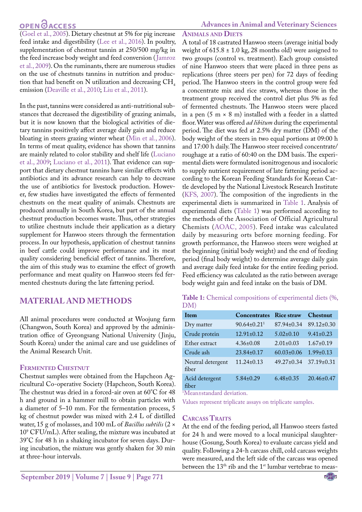## **OPEN**<sub>d</sub>

**Advances in Animal and Veterinary Sciences**

**Animals and Diets**

[\(Goel et al., 2005\)](#page-4-3). Dietary chestnut at 5% for pig increase feed intake and digestibility [\(Lee et al., 2016](#page-5-1)). In poultry, supplementation of chestnut tannin at 250/500 mg/kg in the feed increase body weight and feed conversion ([Jamroz](#page-4-4) [et al., 2009\)](#page-4-4). On the ruminants, there are numerous studies on the use of chestnuts tannins in nutrition and production that had benefit on N utilization and decreasing  $CH<sub>4</sub>$ emission [\(Deaville et al., 2010;](#page-4-5) [Liu et al., 2011\)](#page-5-2).

In the past, tannins were considered as anti-nutritional substances that decreased the digestibility of grazing animals, but it is now known that the biological activities of dietary tannins positively affect average daily gain and reduce bloating in steers grazing winter wheat [\(Min et al., 2006\)](#page-5-3). In terms of meat quality, evidence has shown that tannins are mainly related to color stability and shelf life [\(Luciano](#page-5-4) [et al., 2009;](#page-5-4) [Luciano et al., 2011\)](#page-5-5). That evidence can support that dietary chestnut tannins have similar effects with antibiotics and its advance research can help to decrease the use of antibiotics for livestock production. However, few studies have investigated the effects of fermented chestnuts on the meat quality of animals. Chestnuts are produced annually in South Korea, but part of the annual chestnut production becomes waste. Thus, other strategies to utilize chestnuts include their application as a dietary supplement for Hanwoo steers through the fermentation process. In our hypothesis, application of chestnut tannins in beef cattle could improve performance and its meat quality considering beneficial effect of tannins. Therefore, the aim of this study was to examine the effect of growth performance and meat quality on Hanwoo steers fed fermented chestnuts during the late fattening period.

### **MATERIAL AND METHODS**

All animal procedures were conducted at Woojung farm (Changwon, South Korea) and approved by the administration office of Gyeongsang National University (Jinju, South Korea) under the animal care and use guidelines of the Animal Research Unit.

### **Fermented Chestnut**

Chestnut samples were obtained from the Hapcheon Agricultural Co-operative Society (Hapcheon, South Korea). The chestnut was dried in a forced-air oven at 60°C for 48 h and ground in a hammer mill to obtain particles with a diameter of 5–10 mm. For the fermentation process, 5 kg of chestnut powder was mixed with 2.4 L of distilled water, 15 g of molasses, and 100 mL of *Bacillus subtilis* (2 × 109 CFU/mL). After sealing, the mixture was incubated at 39°C for 48 h in a shaking incubator for seven days. During incubation, the mixture was gently shaken for 30 min at three-hour intervals.

A total of 18 castrated Hanwoo steers (average initial body weight of  $615.8 \pm 1.0$  kg, 28 months old) were assigned to two groups (control vs. treatment). Each group consisted of nine Hanwoo steers that were placed in three pens as replications (three steers per pen) for 72 days of feeding period. The Hanwoo steers in the control group were fed a concentrate mix and rice straws, whereas those in the treatment group received the control diet plus 5% as fed of fermented chestnuts. The Hanwoo steers were placed in a pen  $(5 \text{ m} \times 8 \text{ m})$  installed with a feeder in a slatted floor. Water was offered *ad libitum* during the experimental period. The diet was fed at 2.5% dry matter (DM) of the body weight of the steers in two equal portions at 09:00 h and 17:00 h daily. The Hanwoo steer received concentrate/ roughage at a ratio of 60:40 on the DM basis. The experimental diets were formulated isonitrogenous and isocaloric to supply nutrient requirement of late fattening period according to the Korean Feeding Standards for Korean Cattle developed by the National Livestock Research Institute [\(KFS, 2007](#page-4-6)). The composition of the ingredients in the experimental diets is summarized in [Table 1.](https://www.ajas.info/journal/view.php?number=23769#t1-ajas-30-8-1117) Analysis of experimental diets ([Table 1\)](#page-1-0) was performed according to the methods of the Association of Official Agricultural Chemists ([AOAC, 2005](#page-4-7)). Feed intake was calculated daily by measuring orts before morning feeding. For growth performance, the Hanwoo steers were weighed at the beginning (initial body weight) and the end of feeding period (final body weight) to determine average daily gain and average daily feed intake for the entire feeding period. Feed efficiency was calculated as the ratio between average

<span id="page-1-0"></span>

|     |  | Table 1: Chemical compositions of experimental diets (%, |  |
|-----|--|----------------------------------------------------------|--|
| DM) |  |                                                          |  |

body weight gain and feed intake on the basis of DM.

| <b>Item</b>                | <b>Concentrates</b>           | <b>Rice straw</b> | <b>Chestnut</b>  |
|----------------------------|-------------------------------|-------------------|------------------|
| Dry matter                 | $90.64 \pm 0.21$ <sup>1</sup> | $87.94 \pm 0.34$  | $89.12 \pm 0.30$ |
| Crude protein              | $12.91 \pm 0.12$              | $5.02 \pm 0.10$   | $9.41 \pm 0.23$  |
| Ether extract              | $4.36 \pm 0.08$               | $2.01 \pm 0.03$   | $1.67 \pm 0.19$  |
| Crude ash                  | $23.84 \pm 0.17$              | $60.03 \pm 0.06$  | $1.99 \pm 0.13$  |
| Neutral detergent<br>fiber | $11.24 \pm 0.13$              | $49.27 \pm 0.34$  | $37.19 \pm 0.31$ |
| Acid detergent<br>fiber    | $5.84\pm0.29$                 | $6.48\pm0.35$     | $20.46 \pm 0.47$ |

1 Mean±standard deviation.

Values represent triplicate assays on triplicate samples.

### **Carcass Traits**

At the end of the feeding period, all Hanwoo steers fasted for 24 h and were moved to a local municipal slaughterhouse (Gosung, South Korea) to evaluate carcass yield and quality. Following a 24-h carcass chill, cold carcass weights were measured, and the left side of the carcass was opened between the 13<sup>th</sup> rib and the 1<sup>st</sup> lumbar vertebrae to meas-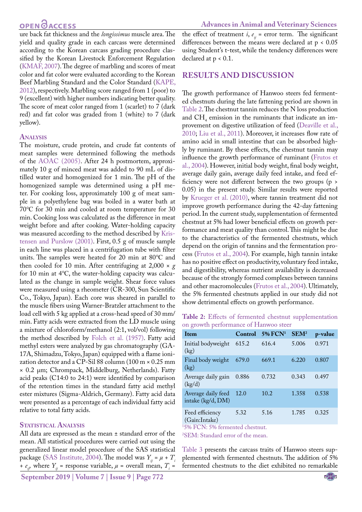## **OPEN**OACCESS

ure back fat thickness and the *longissimus* muscle area. The yield and quality grade in each carcass were determined according to the Korean carcass grading procedure classified by the Korean Livestock Enforcement Regulation ([KMAF, 2007\)](#page-4-8). The degree of marbling and scores of meat color and fat color were evaluated according to the Korean Beef Marbling Standard and the Color Standard ([KAPE,](#page-4-9) [2012](#page-4-9)), respectively. Marbling score ranged from 1 (poor) to 9 (excellent) with higher numbers indicating better quality. The score of meat color ranged from 1 (scarlet) to 7 (dark red) and fat color was graded from 1 (white) to 7 (dark yellow).

### **Analysis**

The moisture, crude protein, and crude fat contents of meat samples were determined following the methods of the [AOAC \(2005\).](#page-4-7) After 24 h postmortem, approximately 10 g of minced meat was added to 90 mL of distilled water and homogenized for 1 min. The pH of the homogenized sample was determined using a pH meter. For cooking loss, approximately 100 g of meat sample in a polyethylene bag was boiled in a water bath at 70℃ for 30 min and cooled at room temperature for 30 min. Cooking loss was calculated as the difference in meat weight before and after cooking. Water-holding capacity was measured according to the method described b[y Kris](#page-4-10)[tensen and Purslow \(2001\).](#page-4-10) First, 0.5 g of muscle sample in each line was placed in a centrifugation tube with filter units. The samples were heated for 20 min at 80℃ and then cooled for 10 min. After centrifuging at  $2,000 \times g$ for 10 min at 4℃, the water-holding capacity was calculated as the change in sample weight. Shear force values were measured using a rheometer (CR-300, Sun Scientific Co., Tokyo, Japan). Each core was sheared in parallel to the muscle fibers using Warner-Bratzler attachment to the load cell with 5 kg applied at a cross-head speed of 30 mm/ min. Fatty acids were extracted from the LD muscle using a mixture of chloroform/methanol (2:1, vol/vol) following the method described by [Folch et al. \(1957\)](#page-4-11). Fatty acid methyl esters were analyzed by gas chromatography (GA-17A, Shimadzu, Tokyo, Japan) equipped with a flame ionization detector and a CP-Sil 88 column (100 m × 0.25 mm × 0.2 µm; Chrompack, Middelburg, Netherlands). Fatty acid peaks (C14:0 to 24:1) were identified by comparison of the retention times in the standard fatty acid methyl ester mixtures (Sigma-Aldrich, Germany). Fatty acid data were presented as a percentage of each individual fatty acid relative to total fatty acids.

### **Statistical Analysis**

All data are expressed as the mean ± standard error of the mean. All statistical procedures were carried out using the generalized linear model procedure of the SAS statistical package [\(SAS Institute, 2004\)](#page-5-6). The model was  $Y_{ii} = \mu + T_i$ *+ e<sub>ij</sub>* where  $Y_{ij}$  = response variable,  $\mu$  = overall mean,  $T_i$  =

**September 2019 | Volume 7 | Issue 9 | Page 772**

the effect of treatment *i*,  $e_{ii}$  = error term. The significant differences between the means were declared at p < 0.05 using Student's t-test, while the tendency differences were declared at p < 0.1.

### **RESULTS AND DISCUSSION**

The growth performance of Hanwoo steers fed fermented chestnuts during the late fattening period are shown in [Table 2](#page-2-0). The chestnut tannin reduces the N loss production and  $CH_4$  emission in the ruminants that indicate an improvement on digestive utilization of feed [\(Deaville et al.,](#page-4-5)  [2010;](#page-4-5) [Liu et al., 2011\)](#page-5-2). Moreover, it increases flow rate of amino acid in small intestine that can be absorbed highly by ruminant. By these effects, the chestnut tannin may influence the growth performance of ruminant (Frutos et al., 2004). However, initial body weight, final body weight, average daily gain, average daily feed intake, and feed efficiency were not different between the two groups (p > 0.05) in the present study. Similar results were reported by [Krueger et al. \(2010\)](#page-4-12), where tannin treatment did not improve growth performance during the 42-day fattening period. In the current study, supplementation of fermented chestnut at 5% had lower beneficial effects on growth performance and meat quality than control. This might be due to the characteristics of the fermented chestnuts, which depend on the origin of tannins and the fermentation process (Frutos et al., 2004). For example, high tannin intake has no positive effect on productivity, voluntary feed intake, and digestibility, whereas nutrient availability is decreased because of the strongly formed complexes between tannins and other macromolecules (Frutos et al., 2004). Ultimately, the 5% fermented chestnuts applied in our study did not show detrimental effects on growth performance.

<span id="page-2-0"></span>**Table 2:** Effects of fermented chestnut supplementation on growth performance of Hanwoo steer

| Item                                    | Control | $5%$ FCN <sup>1</sup> | SEM <sup>2</sup> | p-value |
|-----------------------------------------|---------|-----------------------|------------------|---------|
| Initial bodyweight<br>(kg)              | 615.2   | 616.4                 | 5.006            | 0.971   |
| Final body weight<br>(kg)               | 679.0   | 669.1                 | 6.220            | 0.807   |
| Average daily gain<br>(kg/d)            | 0.886   | 0.732                 | 0.343            | 0.497   |
| Average daily feed<br>intake (kg/d, DM) | 12.0    | 10.2                  | 1.358            | 0.538   |
| Feed efficiency<br>(Gain:Intake)        | 5.32    | 5.16                  | 1.785            | 0.325   |

(Gain:Intake) 1 5% FCN: 5% fermented chestnut.

2 SEM: Standard error of the mean.

[Table 3](#page-3-0) presents the carcass traits of Hanwoo steers supplemented with fermented chestnuts. The addition of 5% fermented chestnuts to the diet exhibited no remarkable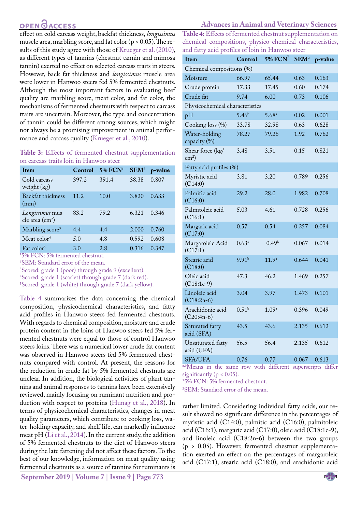## **OPEN**OACCESS

effect on cold carcass weight, backfat thickness, *longissimus*  muscle area, marbling score, and fat color (p > 0.05). The results of this study agree with those of [Krueger et al. \(2010\)](#page-4-12), as different types of tannins (chestnut tannin and mimosa tannin) exerted no effect on selected carcass traits in steers. However, back fat thickness and *longissimus* muscle area were lower in Hanwoo steers fed 5% fermented chestnuts. Although the most important factors in evaluating beef quality are marbling score, meat color, and fat color, the mechanisms of fermented chestnuts with respect to carcass traits are uncertain. Moreover, the type and concentration of tannin could be different among sources, which might not always be a promising improvement in animal performance and carcass quality [\(Krueger et al., 2010](#page-4-12)).

#### <span id="page-3-0"></span>**Table 3:** Effects of fermented chestnut supplementation on carcass traits loin in Hanwoo steer

| Item                                                      | Control                                   | <b>5% FCN1</b> | SEM <sup>2</sup> | p-value |
|-----------------------------------------------------------|-------------------------------------------|----------------|------------------|---------|
| Cold carcass<br>weight $(kg)$                             | 397.2                                     | 391.4          | 38.38            | 0.807   |
| Backfat thickness<br>(mm)                                 | 11.2                                      | 10.0           | 3.820            | 0.633   |
| Longissimus mus-<br>cle area (cm <sup>2</sup> )           | 83.2                                      | 79.2           | 6.321            | 0.346   |
| Marbling score <sup>3</sup>                               | 4.4                                       | 4.4            | 2.000            | 0.760   |
| Meat color <sup>4</sup>                                   | 5.0                                       | 4.8            | 0.592            | 0.608   |
| Fat color <sup>5</sup><br>$1.501$ $T\cap N$ $T - 501$ $C$ | 3.0<br>$-1-1$<br><b>Contract Contract</b> | 2.8            | 0.316            | 0.347   |

1 5% FCN: 5% fermented chestnut.

2 SEM: Standard error of the mean.

3 Scored: grade 1 (poor) through grade 9 (excellent).

4 Scored: grade 1 (scarlet) through grade 7 (dark red).

5 Scored: grade 1 (white) through grade 7 (dark yellow).

[Table 4](#page-3-1) summarizes the data concerning the chemical composition, physicochemical characteristics, and fatty acid profiles in Hanwoo steers fed fermented chestnuts. With regards to chemical composition, moisture and crude protein content in the loins of Hanwoo steers fed 5% fermented chestnuts were equal to those of control Hanwoo steers loins. There was a numerical lower crude fat content was observed in Hanwoo steers fed 5% fermented chestnuts compared with control. At present, the reasons for the reduction in crude fat by 5% fermented chestnuts are unclear. In addition, the biological activities of plant tannins and animal responses to tannins have been extensively reviewed, mainly focusing on ruminant nutrition and production with respect to proteins ([Hunag et al., 2018\)](#page-4-2). In terms of physicochemical characteristics, changes in meat quality parameters, which contribute to cooking loss, water-holding capacity, and shelf life, can markedly influence meat pH ([Li et al., 2014](#page-5-7)). In the current study, the addition of 5% fermented chestnuts to the diet of Hanwoo steers during the late fattening did not affect these factors. To the best of our knowledge, information on meat quality using fermented chestnuts as a source of tannins for ruminants is

#### **Advances in Animal and Veterinary Sciences**

<span id="page-3-1"></span>**Table 4:** Effects of fermented chestnut supplementation on chemical compositions, physico-chemical characteristics, and fatty acid profiles of loin in Hanwoo steer

| Item                                | Control           | $5\%$ $FCN$ <sup>1</sup> | SEM <sup>2</sup> | p-value |  |
|-------------------------------------|-------------------|--------------------------|------------------|---------|--|
| Chemical compositions (%)           |                   |                          |                  |         |  |
| Moisture                            | 66.97             | 65.44                    | 0.63             | 0.163   |  |
| Crude protein                       | 17.33             | 17.45                    | 0.60             | 0.174   |  |
| Crude fat                           | 9.74              | 6.00                     | 0.73             | 0.106   |  |
| Physicochemical characteristics     |                   |                          |                  |         |  |
| pH                                  | 5.46 <sup>b</sup> | $5.68^{a}$               | 0.02             | 0.001   |  |
| Cooking loss (%)                    | 33.78             | 32.98                    | 0.63             | 0.628   |  |
| Water-holding<br>capacity (%)       | 78.27             | 79.26                    | 1.92             | 0.762   |  |
| Shear force (kg/<br>$\text{cm}^2$ ) | 3.48              | 3.51                     | 0.15             | 0.821   |  |
| Fatty acid profiles (%)             |                   |                          |                  |         |  |
| Myristic acid<br>(C14:0)            | 3.81              | 3.20                     | 0.789            | 0.256   |  |
| Palmitic acid<br>(C16:0)            | 29.2              | 28.0                     | 1.982            | 0.708   |  |
| Palmitoleic acid<br>(C16:1)         | 5.03              | 4.61                     | 0.728            | 0.256   |  |
| Margaric acid<br>(C17:0)            | 0.57              | 0.54                     | 0.257            | 0.084   |  |
| Margaroleic Acid<br>(C17:1)         | $0.63^{\rm a}$    | 0.49 <sup>b</sup>        | 0.067            | 0.014   |  |
| Stearic acid<br>(C18:0)             | 9.91 <sup>b</sup> | $11.9^{\circ}$           | 0.644            | 0.041   |  |
| Oleic acid<br>$(C18:1c-9)$          | 47.3              | 46.2                     | 1.469            | 0.257   |  |
| Linoleic acid<br>$(C18:2n-6)$       | 3.04              | 3.97                     | 1.473            | 0.101   |  |
| Arachidonic acid<br>$(C20:4n-6)$    | 0.51 <sup>b</sup> | 1.09a                    | 0.396            | 0.049   |  |
| Saturated fatty<br>acid (SFA)       | 43.5              | 43.6                     | 2.135            | 0.612   |  |
| Unsaturated fatty<br>acid (UFA)     | 56.5              | 56.4                     | 2.135            | 0.612   |  |
| <b>SFA/UFA</b>                      | 0.76              | 0.77                     | 0.067            | 0.613   |  |

a,bMeans in the same row with different superscripts differ significantly ( $p < 0.05$ ).

1 5% FCN: 5% fermented chestnut.

2 SEM: Standard error of the mean.

rather limited. Considering individual fatty acids, our result showed no significant difference in the percentages of myristic acid (C14:0), palmitic acid (C16:0), palmitoleic acid (C16:1), margaric acid (C17:0), oleic acid (C18:1c-9), and linoleic acid (C18:2n-6) between the two groups (p > 0.05). However, fermented chestnut supplementation exerted an effect on the percentages of margaroleic acid (C17:1), stearic acid (C18:0), and arachidonic acid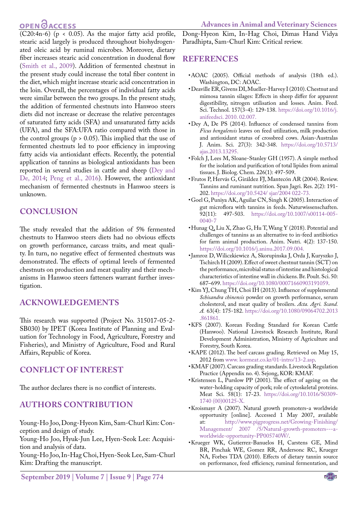## **OPEN**OACCESS

 $\overline{(C20:4n-6)}$  (p < 0.05). As the major fatty acid profile, stearic acid largely is produced throughout biohydrogenated oleic acid by ruminal microbes. Moreover, dietary fiber increases stearic acid concentration in duodenal flow [\(Smith et al., 2009](#page-5-8)). Addition of fermented chestnut in the present study could increase the total fiber content in the diet, which might increase stearic acid concentration in the loin. Overall, the percentages of individual fatty acids were similar between the two groups. In the present study, the addition of fermented chestnuts into Hanwoo steers diets did not increase or decrease the relative percentages of saturated fatty acids (SFA) and unsaturated fatty acids (UFA), and the SFA:UFA ratio compared with those in the control groups ( $p > 0.05$ ). This implied that the use of fermented chestnuts led to poor efficiency in improving fatty acids via antioxidant effects. Recently, the potential application of tannins as biological antioxidants has been reported in several studies in cattle and sheep [\(Dey and](#page-4-13) [De, 2014](#page-4-13); [Peng et al., 2016\)](#page-5-9). However, the antioxidant mechanism of fermented chestnuts in Hanwoo steers is unknown.

## **CONCLUSION**

The study revealed that the addition of 5% fermented chestnuts to Hanwoo steers diets had no obvious effects on growth performance, carcass traits, and meat quality. In turn, no negative effect of fermented chestnuts was demonstrated. The effects of optimal levels of fermented chestnuts on production and meat quality and their mechanisms in Hanwoo steers fatteners warrant further investigation.

### **ACKNOWLEDGEMENTS**

This research was supported (Project No. 315017-05-2- SB030) by IPET (Korea Institute of Planning and Evaluation for Technology in Food, Agriculture, Forestry and Fisheries), and Ministry of Agriculture, Food and Rural Affairs, Republic of Korea.

### **CONFLICT OF INTEREST**

The author declares there is no conflict of interests.

### **AUTHORS CONTRIBUTION**

Young-Ho Joo, Dong-Hyeon Kim, Sam-Churl Kim: Conception and design of study.

Young-Ho Joo, Hyuk-Jun Lee, Hyen-Seok Lee: Acquisition and analysis of data.

Young-Ho Joo, In-Hag Choi, Hyen-Seok Lee, Sam-Churl Kim: Drafting the manuscript.

Dong-Hyeon Kim, In-Hag Choi, Dimas Hand Vidya Paradhipta, Sam-Churl Kim: Critical review.

### **REFERENCES**

- <span id="page-4-7"></span>• AOAC (2005). Official methods of analysis (18th ed.). Washington, DC: AOAC.
- <span id="page-4-5"></span>• Deaville ER, Givens DI, Mueller-Harvey I (2010). Chestnut and mimosa tannin silages: Effects in sheep differ for apparent digestibility, nitrogen utilisation and losses. Anim. Feed. Sci. Technol. 157(3-4): 129-138. https:/[/doi.org/10.1016/j.](doi.org/10.1016/j.anifeedsci.2010.02.007) [anifeedsci. 2010. 02.007](doi.org/10.1016/j.anifeedsci.2010.02.007).
- <span id="page-4-13"></span>• Dey A, De PS (2014). Influence of condensed tannins from *Ficus bengalensis* leaves on feed utilization, milk production and antioxidant status of crossbred cows. Asian-Australas J. Anim. Sci. 27(3): 342-348. https://doi.org[/10.5713/](https://dx.doi.org/10.5713%2Fajas.2013.13295) [ajas.2013.13295.](https://dx.doi.org/10.5713%2Fajas.2013.13295)
- <span id="page-4-11"></span>• Folch J, Lees M, Sloane-Stanley GH (1957). A simple method for the isolation and purification of total lipides from animal tissues. J. Biolog. Chem. 226(1): 497-509.
- • Frutos P, Hervás G, Giráldez FJ, Mantecón AR (2004). Review. Tannins and ruminant nutrition. Span Jagri. Res. 2(2): 191- 202. <https://doi.org/10.5424/ sjar/2004 022-73.>
- <span id="page-4-3"></span>• Goel G, Puniya AK, Aguilar CN, Singh K (2005). Interaction of gut microflora with tannins in feeds. Naturwissenschaften. 92(11): 497-503. [https://doi.org/10.1007/s00114-005-](https://doi.org/10.1007/s00114-005-0040-7 ) [0040-7](https://doi.org/10.1007/s00114-005-0040-7 )
- <span id="page-4-2"></span>• Hunag Q, Liu X, Zhao G, Hu T, Wang Y (2018). Potential and challenges of tannins as an alternative to in-feed antibiotics for farm animal production. Anim. Nutri. 4(2): 137-150. <https://doi.org/10.1016/j.aninu.2017.09.004.>
- <span id="page-4-4"></span>• Jamroz D, Wiliczkiewicz A, Skorupinska J, Orda J, Kuryszko J, Tschirch H (2009). Effect of sweet chestnut tannin (SCT) on the performance, microbial status of intestine and histological characteristics of intestine wall in chickens. Br. Poult. Sci. 50: 687–699. <https://doi.org/10.1080/00071660903191059>.
- <span id="page-4-1"></span>• Kim YJ, Chung TH, Choi IH (2013). Influence of supplemental *Schisandra chinensis* powder on growth performance, serum cholesterol, and meat quality of broilers. *Acta. Agri. Scand. A.* 63(4): 175-182. [https://doi.org/10.1080/09064702.2013](https://doi.org/10.1080/09064702.2013.861861. ) [.861861.](https://doi.org/10.1080/09064702.2013.861861. )
- <span id="page-4-6"></span>• KFS (2007). Korean Feeding Standard for Korean Cattle (Hanwoo). National Livestock Research Institute, Rural Development Administration, Ministry of Agriculture and Forestry, South Korea.
- <span id="page-4-9"></span>• KAPE (2012). The beef carcass grading. Retrieved on May 15, 2012 from [www. kormeat.co.kr/01-intro/13-2.asp](http://www.kormeat.co.kr/01-intro/13-2.asp).
- <span id="page-4-8"></span>• KMAF (2007). Carcass grading standards. Livestock Regulation Practice (Appendix no. 4). Sejong, KOR: KMAF.
- <span id="page-4-10"></span>• Kristensen L, Purslow PP (2001). The effect of ageing on the water-holding capacity of pork; role of cytoskeletal proteins. Meat Sci. 58(1): 17-23. https://doi.org[/10.1016/S](https://doi.org/10.1016/j.meatsci.2008.07.006)0309- 1740 (00)00125-X.
- <span id="page-4-0"></span>• Kroismayr A (2007). Natural growth promoters-a worldwide opportunity [online]. Accessed 1 May 2007, available at: [http://www.pigprogress.net/Growing-Finishing/](http://www.pigprogress.net/Growing-Finishing/Management/ 2007 /5/Natural-growth-promoters---a-worldwide-opportunity-PP005740W/) [Management/ 2007 /5/Natural-growth-promoters---a](http://www.pigprogress.net/Growing-Finishing/Management/ 2007 /5/Natural-growth-promoters---a-worldwide-opportunity-PP005740W/)[worldwide-opportunity-PP005740W/](http://www.pigprogress.net/Growing-Finishing/Management/ 2007 /5/Natural-growth-promoters---a-worldwide-opportunity-PP005740W/).
- <span id="page-4-12"></span>• Krueger WK, Gutierrez-Banuelos H, Carstens GE, Mind BR, Pinchak WE, Gomez RR, Andersonc RC, Krueger NA, Forbes TDA (2010). Effects of dietary tannin source on performance, feed efficiency, ruminal fermentation, and